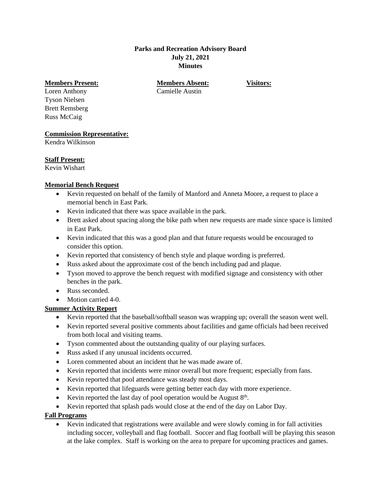### **Parks and Recreation Advisory Board July 21, 2021 Minutes**

#### **Members Present: Members Absent: Visitors:**

Loren Anthony Camielle Austin Tyson Nielsen Brett Remsberg Russ McCaig

## **Commission Representative:**

Kendra Wilkinson

## **Staff Present:**

Kevin Wishart

## **Memorial Bench Request**

- Kevin requested on behalf of the family of Manford and Anneta Moore, a request to place a memorial bench in East Park.
- Kevin indicated that there was space available in the park.
- Brett asked about spacing along the bike path when new requests are made since space is limited in East Park.
- Kevin indicated that this was a good plan and that future requests would be encouraged to consider this option.
- Kevin reported that consistency of bench style and plaque wording is preferred.
- Russ asked about the approximate cost of the bench including pad and plaque.
- Tyson moved to approve the bench request with modified signage and consistency with other benches in the park.
- Russ seconded.
- Motion carried 4-0.

# **Summer Activity Report**

- Kevin reported that the baseball/softball season was wrapping up; overall the season went well.
- Kevin reported several positive comments about facilities and game officials had been received from both local and visiting teams.
- Tyson commented about the outstanding quality of our playing surfaces.
- Russ asked if any unusual incidents occurred.
- Loren commented about an incident that he was made aware of.
- Kevin reported that incidents were minor overall but more frequent; especially from fans.
- Kevin reported that pool attendance was steady most days.
- Kevin reported that lifeguards were getting better each day with more experience.
- Exercise Kevin reported the last day of pool operation would be August  $8<sup>th</sup>$ .
- Kevin reported that splash pads would close at the end of the day on Labor Day.

# **Fall Programs**

 Kevin indicated that registrations were available and were slowly coming in for fall activities including soccer, volleyball and flag football. Soccer and flag football will be playing this season at the lake complex. Staff is working on the area to prepare for upcoming practices and games.